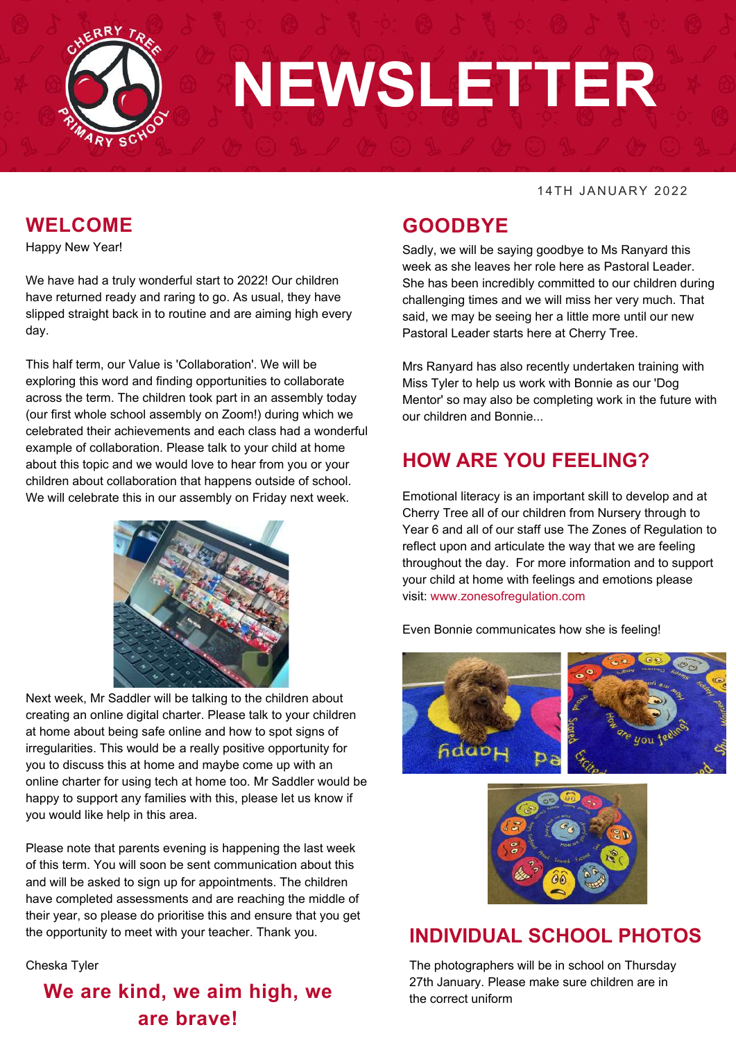

# **NEWSLETTER**

#### 14TH JANUARY 2022

#### **WELCOME**

Happy New Year!

We have had a truly wonderful start to 2022! Our children have returned ready and raring to go. As usual, they have slipped straight back in to routine and are aiming high every day.

This half term, our Value is 'Collaboration'. We will be exploring this word and finding opportunities to collaborate across the term. The children took part in an assembly today (our first whole school assembly on Zoom!) during which we celebrated their achievements and each class had a wonderful example of collaboration. Please talk to your child at home about this topic and we would love to hear from you or your children about collaboration that happens outside of school. We will celebrate this in our assembly on Friday next week.



Next week, Mr Saddler will be talking to the children about creating an online digital charter. Please talk to your children at home about being safe online and how to spot signs of irregularities. This would be a really positive opportunity for you to discuss this at home and maybe come up with an online charter for using tech at home too. Mr Saddler would be happy to support any families with this, please let us know if you would like help in this area.

Please note that parents evening is happening the last week of this term. You will soon be sent communication about this and will be asked to sign up for appointments. The children have completed assessments and are reaching the middle of their year, so please do prioritise this and ensure that you get the opportunity to meet with your teacher. Thank you.

Cheska Tyler

# **We are kind, we aim high, we are brave!**

#### **GOODBYE**

Sadly, we will be saving goodbye to Ms Ranyard this week as she leaves her role here as Pastoral Leader. She has been incredibly committed to our children during challenging times and we will miss her very much. That said, we may be seeing her a little more until our new Pastoral Leader starts here at Cherry Tree.

Mrs Ranyard has also recently undertaken training with Miss Tyler to help us work with Bonnie as our 'Dog Mentor' so may also be completing work in the future with our children and Bonnie...

#### **HOW ARE YOU FEELING?**

Emotional literacy is an important skill to develop and at Cherry Tree all of our children from Nursery through to Year 6 and all of our staff use The Zones of Regulation to reflect upon and articulate the way that we are feeling throughout the day. For more information and to support your child at home with feelings and emotions please visit: www.zonesofregulation.com

#### Even Bonnie communicates how she is feeling!





#### **INDIVIDUAL SCHOOL PHOTOS**

The photographers will be in school on Thursday 27th January. Please make sure children are in the correct uniform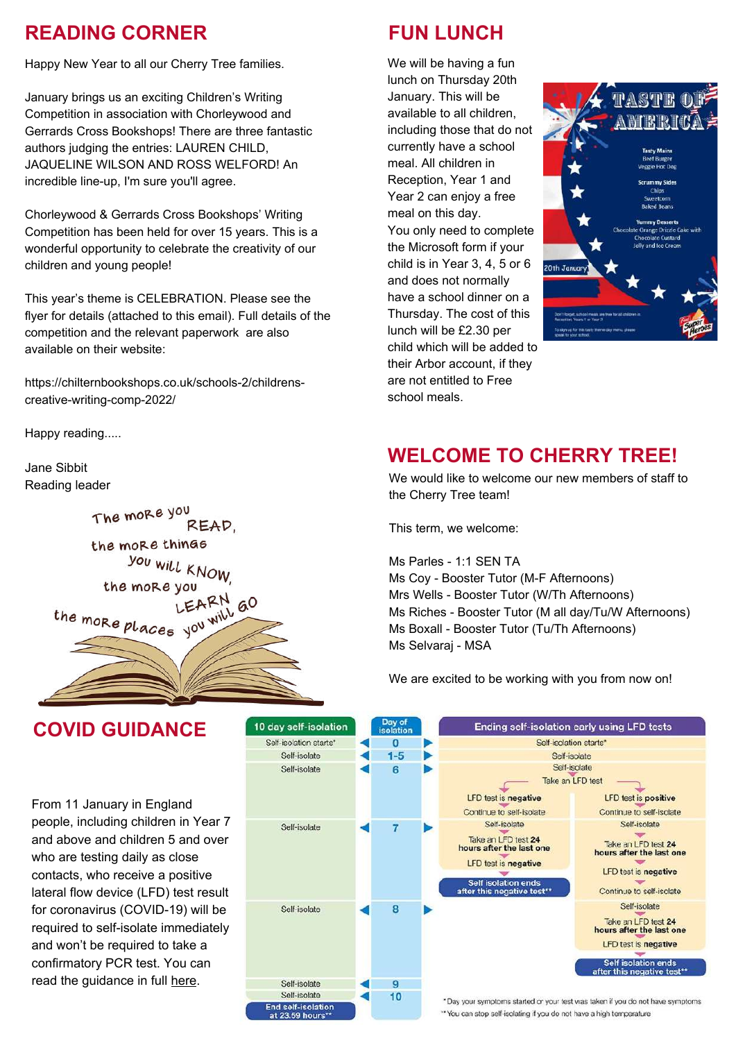#### **READING CORNER FUN LUNCH**

Happy New Year to all our Cherry Tree families.

January brings us an exciting Children's Writing Competition in association with Chorleywood and Gerrards Cross Bookshops! There are three fantastic authors judging the entries: LAUREN CHILD, JAQUELINE WILSON AND ROSS WELFORD! An incredible line-up, I'm sure you'll agree.

Chorleywood & Gerrards Cross Bookshops' Writing Competition has been held for over 15 years. This is a wonderful opportunity to celebrate the creativity of our children and young people!

This year's theme is CELEBRATION. Please see the flyer for details (attached to this email). Full details of the competition and the relevant paperwork are also available on their website:

[https://chilternbookshops.co.uk/schools-2/childrens](https://chilternbookshops.co.uk/schools-2/childrens-creative-writing-comp-2022/)creative-writing-comp-2022/

Happy reading.....

Jane Sibbit Reading leader



**COVID GUIDANCE**

From 11 January in England people, including children in Year 7 and above and children 5 and over who are testing daily as close contacts, who receive a positive lateral flow device (LFD) test result for coronavirus (COVID-19) will be required to self-isolate immediately and won't be required to take a confirmatory PCR test. You can read the guidance in full [here](https://www.gov.uk/government/news/confirmatory-pcr-tests-to-be-temporarily-suspended-for-positive-lateral-flow-test-results).

We will be having a fun lunch on Thursday 20th January. This will be available to all children, including those that do not currently have a school meal. All children in Reception, Year 1 and Year 2 can enjoy a free meal on this day. You only need to complete the Microsoft form if your child is in Year 3, 4, 5 or 6 and does not normally have a school dinner on a Thursday. The cost of this lunch will be £2.30 per child which will be added to their Arbor account, if they are not entitled to Free school meals.



#### **WELCOME TO CHERRY TREE!**

We would like to welcome our new members of staff to the Cherry Tree team!

This term, we welcome:

Ms Parles - 1:1 SEN TA Ms Coy - Booster Tutor (M-F Afternoons) Mrs Wells - Booster Tutor (W/Th Afternoons) Ms Riches - Booster Tutor (M all day/Tu/W Afternoons) Ms Boxall - Booster Tutor (Tu/Th Afternoons) Ms Selvaraj - MSA

We are excited to be working with you from now on!

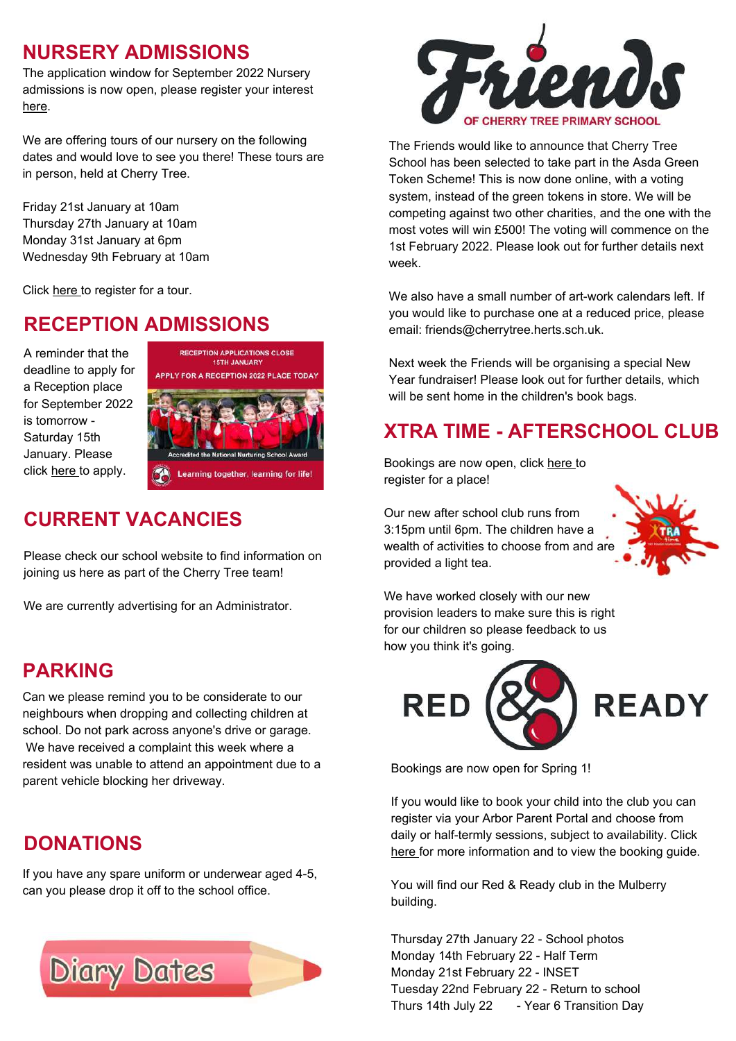#### **NURSERY ADMISSIONS**

The application window for September 2022 Nursery admissions is now open, please register your interest [here.](https://forms.office.com/r/0dupw0CY0E)

We are offering tours of our nursery on the following dates and would love to see you there! These tours are in person, held at Cherry Tree.

Friday 21st January at 10am Thursday 27th January at 10am Monday 31st January at 6pm Wednesday 9th February at 10am

Click [here](https://forms.office.com/r/rpe3mQpZaP) to register for a tour.

# **RECEPTION ADMISSIONS**

A reminder that the deadline to apply for a Reception place for September 2022 is tomorrow - Saturday 15th January. Please click [here](https://www.hertfordshire.gov.uk/services/schools-and-education/school-admissions/primary-junior-and-middle-schools/primary-junior-and-middle-school-places.aspx) to apply.



# **CURRENT VACANCIES**

Please check our school website to find information on joining us here as part of the Cherry Tree team!

We are currently advertising for an Administrator.

#### **PARKING**

Can we please remind you to be considerate to our neighbours when dropping and collecting children at school. Do not park across anyone's drive or garage. We have received a complaint this week where a resident was unable to attend an appointment due to a parent vehicle blocking her driveway.

#### **DONATIONS**

If you have any spare uniform or underwear aged 4-5, can you please drop it off to the school office.





The Friends would like to announce that Cherry Tree School has been selected to take part in the Asda Green Token Scheme! This is now done online, with a voting system, instead of the green tokens in store. We will be competing against two other charities, and the one with the most votes will win £500! The voting will commence on the 1st February 2022. Please look out for further details next week.

We also have a small number of art-work calendars left. If you would like to purchase one at a reduced price, please email: friends@cherrytree.herts.sch.uk.

Next week the Friends will be organising a special New Year fundraiser! Please look out for further details, which will be sent home in the children's book bags.

# **XTRA TIME - AFTERSCHOOL CLUB**

Bookings are now open, click [here](https://form.jotform.com/213351921534349) to register for a place!

Our new after school club runs from 3:15pm until 6pm. The children have a wealth of activities to choose from and are provided a light tea.



We have worked closely with our new provision leaders to make sure this is right for our children so please feedback to us how you think it's going.



Bookings are now open for Spring 1!

If you would like to book your child into the club you can register via your Arbor Parent Portal and choose from daily or half-termly sessions, subject to availability. Click [here](https://www.cherrytree.herts.sch.uk/attachments/download.asp?file=934&type=pdf) for more information and to view the booking guide.

You will find our Red & Ready club in the Mulberry building.

Thursday 27th January 22 - School photos Monday 14th February 22 - Half Term Monday 21st February 22 - INSET Tuesday 22nd February 22 - Return to school Thurs 14th July 22 - Year 6 Transition Day